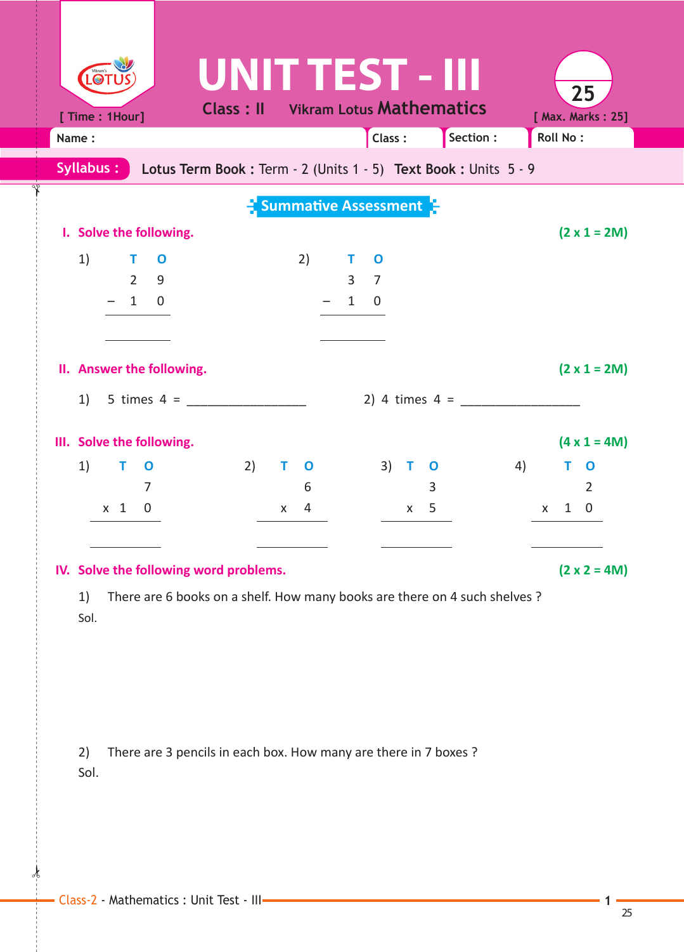| LOT                                    |                                                                  |                   | UNIT TEST - III                 |           | 25                     |
|----------------------------------------|------------------------------------------------------------------|-------------------|---------------------------------|-----------|------------------------|
| [ Time: 1Hour]                         | <b>Class: II</b>                                                 |                   | <b>Vikram Lotus Mathematics</b> |           | [ Max. Marks: 25]      |
| Name:                                  |                                                                  |                   | Class:                          | Section : | <b>Roll No:</b>        |
| Syllabus:                              | Lotus Term Book : Term - 2 (Units 1 - 5) Text Book : Units 5 - 9 |                   |                                 |           |                        |
|                                        |                                                                  |                   | <b>Summative Assessment</b>     |           |                        |
| I. Solve the following.                |                                                                  |                   |                                 |           | $(2 \times 1 = 2M)$    |
| 1)<br>$\blacksquare$<br>$\mathbf 0$    |                                                                  | 2)                | T.<br>$\mathbf 0$               |           |                        |
| $\overline{2}$<br>9                    |                                                                  |                   | 3<br>$\overline{7}$             |           |                        |
| $-10$                                  |                                                                  |                   | $\mathbf{1}$<br>0               |           |                        |
|                                        |                                                                  |                   |                                 |           |                        |
| II. Answer the following.              |                                                                  |                   |                                 |           | $(2 \times 1 = 2M)$    |
| 5 times 4 = $\frac{ }{ }$<br>1)        |                                                                  |                   |                                 |           |                        |
| III. Solve the following.              |                                                                  |                   |                                 |           | $(4 \times 1 = 4M)$    |
| 1)<br>Т<br>$\mathbf 0$                 | 2)                                                               | T.<br>$\mathbf 0$ | $3)$ T<br>$\mathbf 0$           |           | 4)<br>т<br>$\mathbf 0$ |
| 7                                      |                                                                  | 6                 | 3                               |           | 2                      |
| $x \quad 1$<br>$\overline{0}$          |                                                                  | 4<br>X.           | $x \quad 5$                     |           | $1\quad 0$<br>X        |
|                                        |                                                                  |                   |                                 |           |                        |
| IV. Solve the following word problems. |                                                                  |                   |                                 |           | $(2 \times 2 = 4M)$    |

 1) There are 6 books on a shelf. How many books are there on 4 such shelves ? Sol.

2) There are 3 pencils in each box. How many are there in 7 boxes ? Sol.

 $\star$ 

✁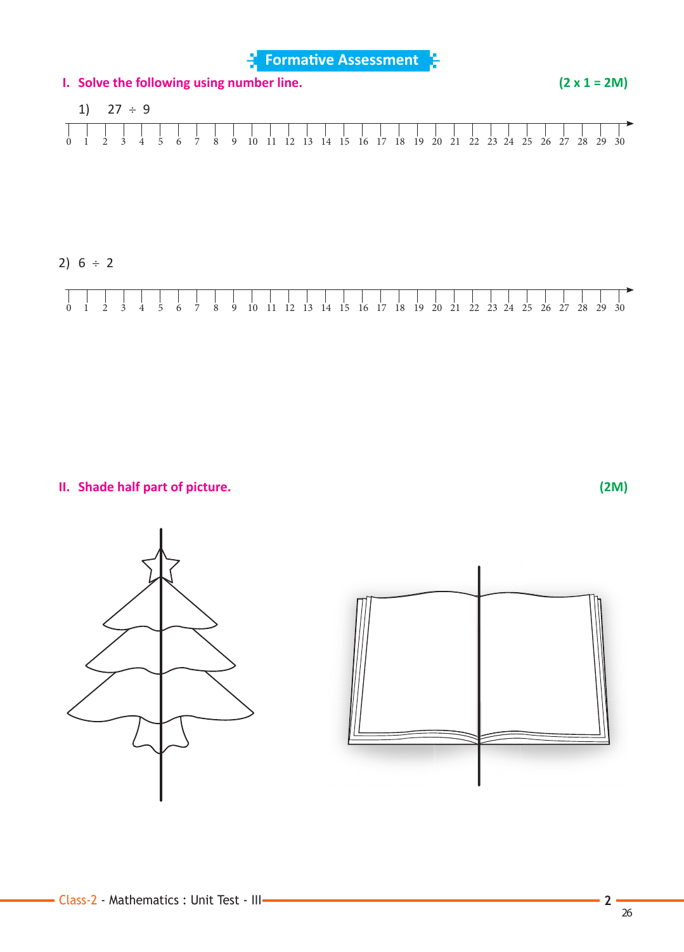**Formative Assessment** 



2)  $6 \div 2$ 



 **II. Shade half part of picture. (2M)**



26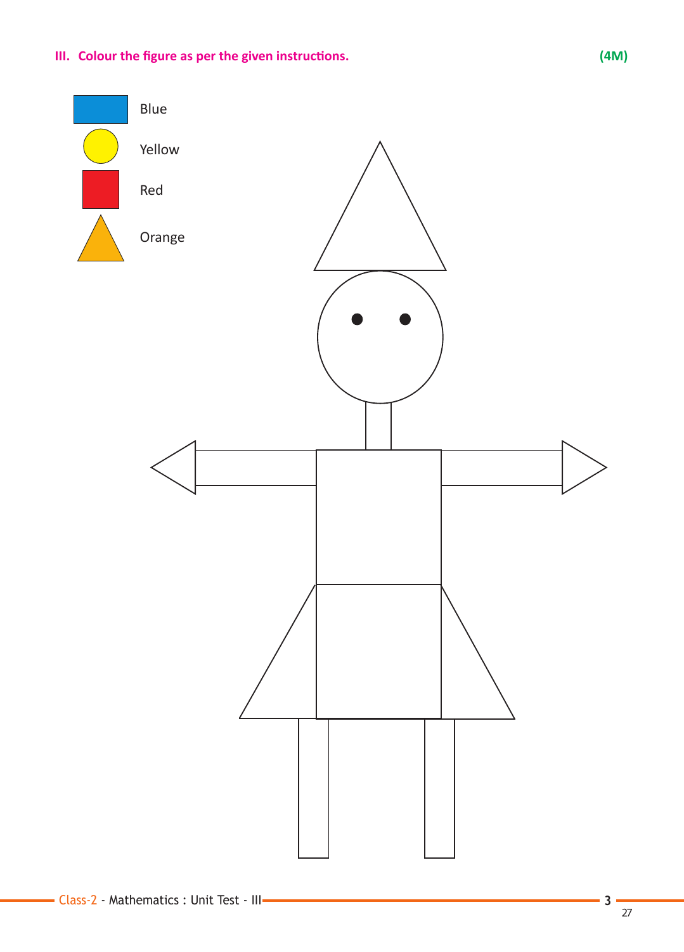## **III.** Colour the figure as per the given instructions. (4M)